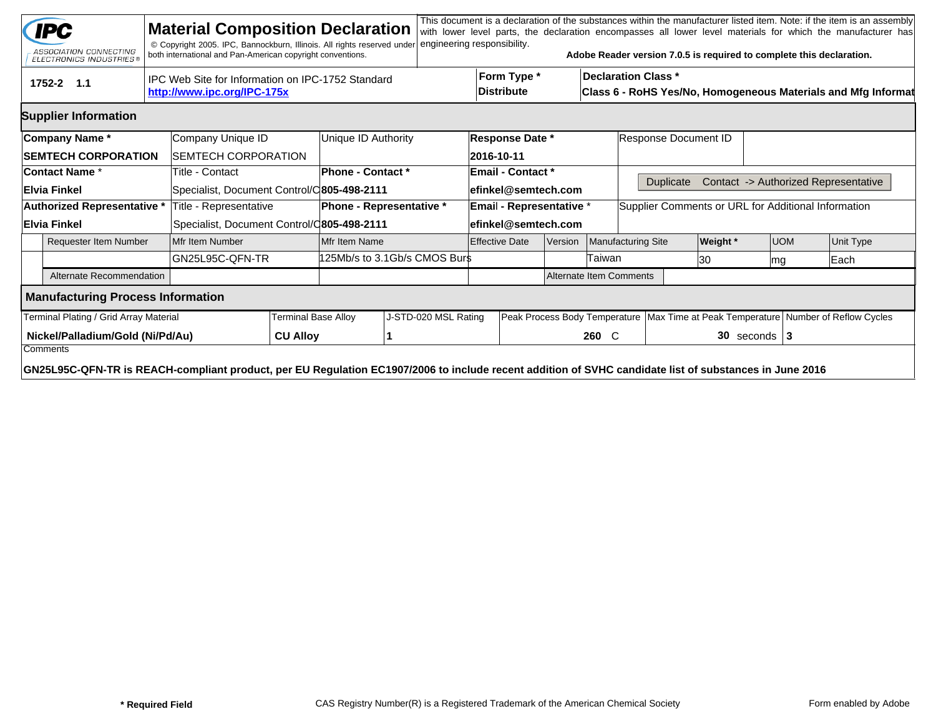|                                              | <b>IPC</b><br>ASSOCIATION CONNECTING<br>ELECTRONICS INDUSTRIES®                                                                                        |                                                                                  | <b>Material Composition Declaration</b><br>© Copyright 2005. IPC, Bannockburn, Illinois. All rights reserved under<br>both international and Pan-American copyright conventions. |                 |                                 | engineering responsibility. |                          |                                                                                                                                 |               |                                                          | Adobe Reader version 7.0.5 is required to complete this declaration. |                                                                                        |            |      | This document is a declaration of the substances within the manufacturer listed item. Note: if the item is an assembly<br>with lower level parts, the declaration encompasses all lower level materials for which the manufacturer has |  |
|----------------------------------------------|--------------------------------------------------------------------------------------------------------------------------------------------------------|----------------------------------------------------------------------------------|----------------------------------------------------------------------------------------------------------------------------------------------------------------------------------|-----------------|---------------------------------|-----------------------------|--------------------------|---------------------------------------------------------------------------------------------------------------------------------|---------------|----------------------------------------------------------|----------------------------------------------------------------------|----------------------------------------------------------------------------------------|------------|------|----------------------------------------------------------------------------------------------------------------------------------------------------------------------------------------------------------------------------------------|--|
|                                              | 1752-2 1.1                                                                                                                                             | IPC Web Site for Information on IPC-1752 Standard<br>http://www.ipc.org/IPC-175x |                                                                                                                                                                                  |                 |                                 |                             |                          | Form Type *<br><b>Declaration Class *</b><br><b>Distribute</b><br>Class 6 - RoHS Yes/No, Homogeneous Materials and Mfg Informat |               |                                                          |                                                                      |                                                                                        |            |      |                                                                                                                                                                                                                                        |  |
|                                              | <b>Supplier Information</b>                                                                                                                            |                                                                                  |                                                                                                                                                                                  |                 |                                 |                             |                          |                                                                                                                                 |               |                                                          |                                                                      |                                                                                        |            |      |                                                                                                                                                                                                                                        |  |
|                                              | Company Name*                                                                                                                                          |                                                                                  | Company Unique ID                                                                                                                                                                |                 | Unique ID Authority             |                             |                          | <b>Response Date *</b>                                                                                                          |               |                                                          | Response Document ID                                                 |                                                                                        |            |      |                                                                                                                                                                                                                                        |  |
| <b>SEMTECH CORPORATION</b>                   |                                                                                                                                                        |                                                                                  | <b>SEMTECH CORPORATION</b>                                                                                                                                                       |                 |                                 |                             | 2016-10-11               |                                                                                                                                 |               |                                                          |                                                                      |                                                                                        |            |      |                                                                                                                                                                                                                                        |  |
| <b>Contact Name *</b>                        |                                                                                                                                                        |                                                                                  | Title - Contact                                                                                                                                                                  |                 | <b>Phone - Contact *</b>        | <b>Email - Contact *</b>    |                          |                                                                                                                                 |               |                                                          |                                                                      |                                                                                        |            |      |                                                                                                                                                                                                                                        |  |
|                                              | ∣Elvia Finkel                                                                                                                                          |                                                                                  | Specialist, Document Control/C805-498-2111                                                                                                                                       |                 |                                 | lefinkel@semtech.com        |                          |                                                                                                                                 |               | Contact -> Authorized Representative<br><b>Duplicate</b> |                                                                      |                                                                                        |            |      |                                                                                                                                                                                                                                        |  |
| Authorized Representative *                  |                                                                                                                                                        |                                                                                  | Title - Representative                                                                                                                                                           |                 | <b>Phone - Representative *</b> |                             | Email - Representative * |                                                                                                                                 |               |                                                          | Supplier Comments or URL for Additional Information                  |                                                                                        |            |      |                                                                                                                                                                                                                                        |  |
|                                              | Elvia Finkel                                                                                                                                           |                                                                                  | Specialist, Document Control/C805-498-2111                                                                                                                                       |                 |                                 | efinkel@semtech.com         |                          |                                                                                                                                 |               |                                                          |                                                                      |                                                                                        |            |      |                                                                                                                                                                                                                                        |  |
|                                              | <b>Requester Item Number</b>                                                                                                                           |                                                                                  | Mfr Item Number                                                                                                                                                                  |                 | Mfr Item Name                   |                             | <b>Effective Date</b>    |                                                                                                                                 | Version       | <b>Manufacturing Site</b>                                |                                                                      | <b>Weight</b> *                                                                        | <b>UOM</b> |      | Unit Type                                                                                                                                                                                                                              |  |
|                                              |                                                                                                                                                        |                                                                                  | IGN25L95C-QFN-TR                                                                                                                                                                 |                 | 125Mb/s to 3.1Gb/s CMOS Burs    |                             |                          |                                                                                                                                 | <b>Faiwan</b> |                                                          | 130                                                                  | mg                                                                                     |            | Each |                                                                                                                                                                                                                                        |  |
|                                              | Alternate Recommendation                                                                                                                               |                                                                                  |                                                                                                                                                                                  |                 |                                 |                             |                          | Alternate Item Comments                                                                                                         |               |                                                          |                                                                      |                                                                                        |            |      |                                                                                                                                                                                                                                        |  |
|                                              | <b>Manufacturing Process Information</b>                                                                                                               |                                                                                  |                                                                                                                                                                                  |                 |                                 |                             |                          |                                                                                                                                 |               |                                                          |                                                                      |                                                                                        |            |      |                                                                                                                                                                                                                                        |  |
|                                              | Terminal Plating / Grid Array Material                                                                                                                 |                                                                                  | Terminal Base Alloy                                                                                                                                                              |                 | J-STD-020 MSL Rating            |                             |                          |                                                                                                                                 |               |                                                          |                                                                      | Peak Process Body Temperature   Max Time at Peak Temperature   Number of Reflow Cycles |            |      |                                                                                                                                                                                                                                        |  |
| Nickel/Palladium/Gold (Ni/Pd/Au)<br>Comments |                                                                                                                                                        |                                                                                  |                                                                                                                                                                                  | <b>CU Alloy</b> |                                 |                             |                          |                                                                                                                                 |               | 260 C                                                    |                                                                      | $30$ seconds   3                                                                       |            |      |                                                                                                                                                                                                                                        |  |
|                                              | GN25L95C-QFN-TR is REACH-compliant product, per EU Regulation EC1907/2006 to include recent addition of SVHC candidate list of substances in June 2016 |                                                                                  |                                                                                                                                                                                  |                 |                                 |                             |                          |                                                                                                                                 |               |                                                          |                                                                      |                                                                                        |            |      |                                                                                                                                                                                                                                        |  |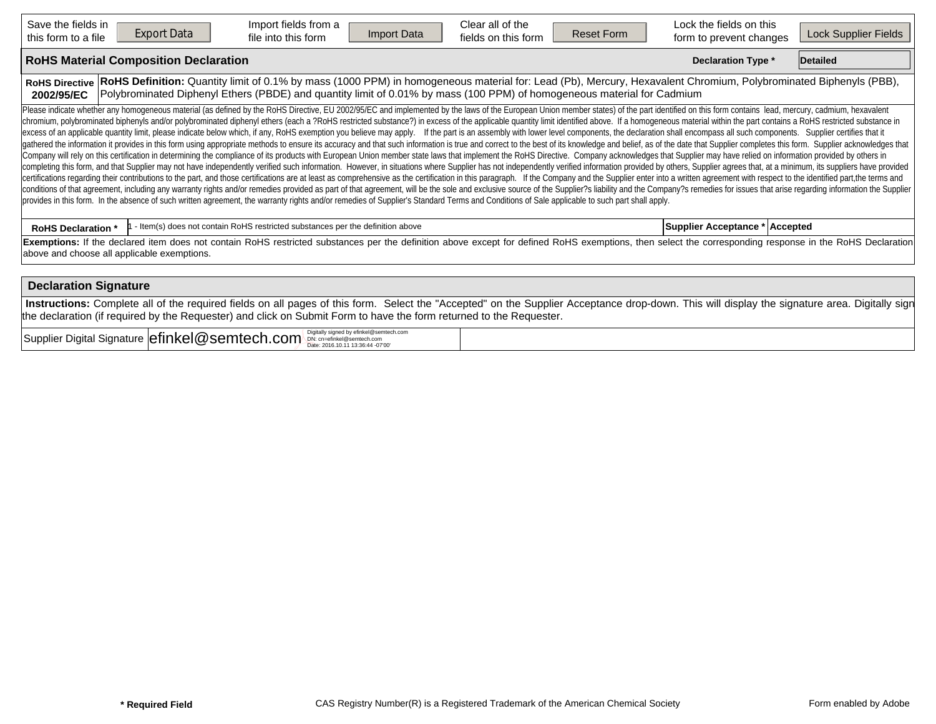| Save the fields in<br><b>Export Data</b><br>this form to a file                                                                                                                                                                                                                                                                                                                                                                                                                                                                                                                                                                                                                                                                                                                                                                                                                                                                                                                                                                                                                                                                                                                                                                                                                                                                                                                                                                                                                                                                                                                                                                                                                                                                                                                                                                                                                                                                                                                                                                                                             | Import fields from a<br>Import Data<br>file into this form                                                                                                                                                                                                                                  | Clear all of the<br>fields on this form | <b>Reset Form</b> | Lock the fields on this<br>form to prevent changes | Lock Supplier Fields |
|-----------------------------------------------------------------------------------------------------------------------------------------------------------------------------------------------------------------------------------------------------------------------------------------------------------------------------------------------------------------------------------------------------------------------------------------------------------------------------------------------------------------------------------------------------------------------------------------------------------------------------------------------------------------------------------------------------------------------------------------------------------------------------------------------------------------------------------------------------------------------------------------------------------------------------------------------------------------------------------------------------------------------------------------------------------------------------------------------------------------------------------------------------------------------------------------------------------------------------------------------------------------------------------------------------------------------------------------------------------------------------------------------------------------------------------------------------------------------------------------------------------------------------------------------------------------------------------------------------------------------------------------------------------------------------------------------------------------------------------------------------------------------------------------------------------------------------------------------------------------------------------------------------------------------------------------------------------------------------------------------------------------------------------------------------------------------------|---------------------------------------------------------------------------------------------------------------------------------------------------------------------------------------------------------------------------------------------------------------------------------------------|-----------------------------------------|-------------------|----------------------------------------------------|----------------------|
| <b>RoHS Material Composition Declaration</b>                                                                                                                                                                                                                                                                                                                                                                                                                                                                                                                                                                                                                                                                                                                                                                                                                                                                                                                                                                                                                                                                                                                                                                                                                                                                                                                                                                                                                                                                                                                                                                                                                                                                                                                                                                                                                                                                                                                                                                                                                                |                                                                                                                                                                                                                                                                                             |                                         |                   | Declaration Type *                                 | <b>Detailed</b>      |
| <b>RoHS Directive</b><br>2002/95/EC                                                                                                                                                                                                                                                                                                                                                                                                                                                                                                                                                                                                                                                                                                                                                                                                                                                                                                                                                                                                                                                                                                                                                                                                                                                                                                                                                                                                                                                                                                                                                                                                                                                                                                                                                                                                                                                                                                                                                                                                                                         | RoHS Definition: Quantity limit of 0.1% by mass (1000 PPM) in homogeneous material for: Lead (Pb), Mercury, Hexavalent Chromium, Polybrominated Biphenyls (PBB),<br>Polybrominated Diphenyl Ethers (PBDE) and quantity limit of 0.01% by mass (100 PPM) of homogeneous material for Cadmium |                                         |                   |                                                    |                      |
| Please indicate whether any homogeneous material (as defined by the RoHS Directive, EU 2002/95/EC and implemented by the laws of the European Union member states) of the part identified on this form contains lead, mercury,<br>chromium, polybrominated biphenyls and/or polybrominated diphenyl ethers (each a ?RoHS restricted substance?) in excess of the applicable quantity limit identified above. If a homogeneous material within the part contains<br>excess of an applicable quantity limit, please indicate below which, if any, RoHS exemption you believe may apply. If the part is an assembly with lower level components, the declaration shall encompass all such components<br>gathered the information it provides in this form using appropriate methods to ensure its accuracy and that such information is true and correct to the best of its knowledge and belief, as of the date that Supplier complet<br>Company will rely on this certification in determining the compliance of its products with European Union member state laws that implement the RoHS Directive. Company acknowledges that Supplier may have relied on informati<br>completing this form, and that Supplier may not have independently verified such information. However, in situations where Supplier has not independently verified information provided by others, Supplier agrees that, at a<br>certifications regarding their contributions to the part, and those certifications are at least as comprehensive as the certification in this paragraph. If the Company and the Supplier enter into a written agreement with r<br>conditions of that agreement, including any warranty rights and/or remedies provided as part of that agreement, will be the sole and exclusive source of the Supplier?s liability and the Company?s remedies for issues that a<br>provides in this form. In the absence of such written agreement, the warranty rights and/or remedies of Supplier's Standard Terms and Conditions of Sale applicable to such part shall apply. |                                                                                                                                                                                                                                                                                             |                                         |                   |                                                    |                      |
| <b>RoHS Declaration *</b>                                                                                                                                                                                                                                                                                                                                                                                                                                                                                                                                                                                                                                                                                                                                                                                                                                                                                                                                                                                                                                                                                                                                                                                                                                                                                                                                                                                                                                                                                                                                                                                                                                                                                                                                                                                                                                                                                                                                                                                                                                                   | - Item(s) does not contain RoHS restricted substances per the definition above                                                                                                                                                                                                              |                                         |                   | Supplier Acceptance * Accepted                     |                      |
| Exemptions: If the declared item does not contain RoHS restricted substances per the definition above except for defined RoHS exemptions, then select the corresponding response in the RoHS Declaration<br>above and choose all applicable exemptions.                                                                                                                                                                                                                                                                                                                                                                                                                                                                                                                                                                                                                                                                                                                                                                                                                                                                                                                                                                                                                                                                                                                                                                                                                                                                                                                                                                                                                                                                                                                                                                                                                                                                                                                                                                                                                     |                                                                                                                                                                                                                                                                                             |                                         |                   |                                                    |                      |
| <b>Declaration Signature</b>                                                                                                                                                                                                                                                                                                                                                                                                                                                                                                                                                                                                                                                                                                                                                                                                                                                                                                                                                                                                                                                                                                                                                                                                                                                                                                                                                                                                                                                                                                                                                                                                                                                                                                                                                                                                                                                                                                                                                                                                                                                |                                                                                                                                                                                                                                                                                             |                                         |                   |                                                    |                      |
| Instructions: Complete all of the required fields on all pages of this form. Select the "Accepted" on the Supplier Acceptance drop-down. This will display the signature area. Digitally sign                                                                                                                                                                                                                                                                                                                                                                                                                                                                                                                                                                                                                                                                                                                                                                                                                                                                                                                                                                                                                                                                                                                                                                                                                                                                                                                                                                                                                                                                                                                                                                                                                                                                                                                                                                                                                                                                               |                                                                                                                                                                                                                                                                                             |                                         |                   |                                                    |                      |

Supplier Digital Signature **efinkel@semtech.com** Digitally signed by efinkel@semtech.com<br>Date: 2016.10.11 13:36:44 -07'00'

the declaration (if required by the Requester) and click on Submit Form to have the form returned to the Requester.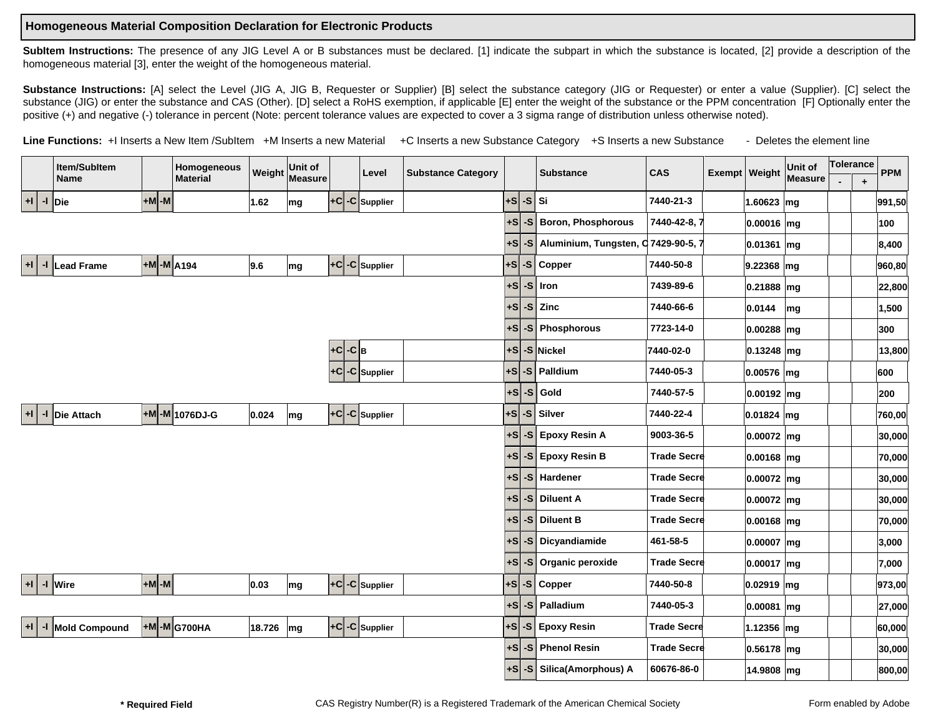## **Homogeneous Material Composition Declaration for Electronic Products**

SubItem Instructions: The presence of any JIG Level A or B substances must be declared. [1] indicate the subpart in which the substance is located, [2] provide a description of the homogeneous material [3], enter the weight of the homogeneous material.

Substance Instructions: [A] select the Level (JIG A, JIG B, Requester or Supplier) [B] select the substance category (JIG or Requester) or enter a value (Supplier). [C] select the substance (JIG) or enter the substance and CAS (Other). [D] select a RoHS exemption, if applicable [E] enter the weight of the substance or the PPM concentration [F] Optionally enter the positive (+) and negative (-) tolerance in percent (Note: percent tolerance values are expected to cover a 3 sigma range of distribution unless otherwise noted).

Line Functions: +I Inserts a New Item /SubItem +M Inserts a new Material +C Inserts a new Substance Category +S Inserts a new Substance - Deletes the element line

|      |              | Item/SubItem         |            | Homogeneous     |        | Unit of |         |                                      |                           |        |      |                           |                    |                 | Unit of | Tolerance |         |            |
|------|--------------|----------------------|------------|-----------------|--------|---------|---------|--------------------------------------|---------------------------|--------|------|---------------------------|--------------------|-----------------|---------|-----------|---------|------------|
|      |              | <b>Name</b>          |            | <b>Material</b> | Weight | Measure |         | Level                                | <b>Substance Category</b> |        |      | <b>Substance</b>          | <b>CAS</b>         | Exempt   Weight | Measure |           | $\ddag$ | <b>PPM</b> |
| $+1$ |              | $-1$ Die             | $+M$ -M    |                 | 1.62   | mg      |         | $ +C -C $ Supplier                   |                           | +s     |      | $-S Si$                   | 7440-21-3          | 1.60623 $mg$    |         |           |         | 991,50     |
|      |              |                      |            |                 |        |         |         |                                      |                           | $+S$   | -S   | <b>Boron, Phosphorous</b> | 7440-42-8, 7       | $ 0.00016 $ mg  |         |           |         | 100        |
|      |              |                      |            |                 |        |         |         |                                      |                           | +S     | $-S$ | Aluminium, Tungsten,      | C 7429-90-5, 7     | 0.01361 mg      |         |           |         | 8,400      |
| $+1$ | $\mathbf{d}$ | Lead Frame           | +M -M A194 |                 | 9.6    | mg      |         | $ \texttt{-c} $ -C Supplier          |                           | +s     |      | $-S$ Copper               | 7440-50-8          | 9.22368 mg      |         |           |         | 960,80     |
|      |              |                      |            |                 |        |         |         |                                      |                           | +S     | $-S$ | Iron                      | 7439-89-6          | $ 0.21888 $ mg  |         |           |         | 22,800     |
|      |              |                      |            |                 |        |         |         |                                      |                           | +S     |      | $-S$ Zinc                 | 7440-66-6          | 0.0144          | mg      |           |         | 1,500      |
|      |              |                      |            |                 |        |         |         |                                      |                           | +S     |      | -S Phosphorous            | 7723-14-0          | $ 0.00288 $ mg  |         |           |         | 300        |
|      |              |                      |            |                 |        |         | +c -c в |                                      |                           |        |      | +S -S Nickel              | 7440-02-0          | $ 0.13248 $ mg  |         |           |         | 13,800     |
|      |              |                      |            |                 |        |         |         | $+C$ -C Supplier                     |                           | +s     |      | $-S$ Palldium             | 7440-05-3          | 0.00576 mg      |         |           |         | 600        |
|      |              |                      |            |                 |        |         |         |                                      |                           | $ +S $ | $-S$ | Gold                      | 7440-57-5          | $ 0.00192 $ mg  |         |           |         | 200        |
|      |              | +I   -I   Die Attach |            | +M -M 1076DJ-G  | 0.024  | mg      |         | $ +C -C $ Supplier                   |                           | +S     |      | -S Silver                 | 7440-22-4          | 0.01824 mg      |         |           |         | 760,00     |
|      |              |                      |            |                 |        |         |         |                                      |                           | +S     | -S   | <b>Epoxy Resin A</b>      | 9003-36-5          | 0.00072 mg      |         |           |         | 30,000     |
|      |              |                      |            |                 |        |         |         |                                      |                           | ٠S     |      | -S Epoxy Resin B          | <b>Trade Secre</b> | $ 0.00168 $ mg  |         |           |         | 70,000     |
|      |              |                      |            |                 |        |         |         |                                      |                           | +S     | -S   | Hardener                  | <b>Trade Secre</b> | 0.00072 mg      |         |           |         | 30,000     |
|      |              |                      |            |                 |        |         |         |                                      |                           | ۰S     | -S   | <b>Diluent A</b>          | <b>Trade Secre</b> | $ 0.00072 $ mg  |         |           |         | 30,000     |
|      |              |                      |            |                 |        |         |         |                                      |                           | +S     |      | -S   Diluent B            | <b>Trade Secre</b> | 0.00168 mg      |         |           |         | 70,000     |
|      |              |                      |            |                 |        |         |         |                                      |                           | +S     |      | -S Dicyandiamide          | 461-58-5           | 0.00007 mg      |         |           |         | 3,000      |
|      |              |                      |            |                 |        |         |         |                                      |                           | +S     | $-S$ | Organic peroxide          | <b>Trade Secre</b> | $0.00017$ mg    |         |           |         | 7,000      |
|      |              | $+1$ -I Wire         | $+M$ -M    |                 | 0.03   | mg      |         | $ \mathsf{+C} \mathsf{-C} $ Supplier |                           | +S     | $-S$ | <b>Copper</b>             | 7440-50-8          | 0.02919 mg      |         |           |         | 973,00     |
|      |              |                      |            |                 |        |         |         |                                      |                           | $+S$   | $-S$ | Palladium                 | 7440-05-3          | $ 0.00081 $ mg  |         |           |         | 27,000     |
| $+1$ | H,           | Mold Compound        |            | $+M$ -M G700HA  | 18.726 | mg      |         | $ \texttt{-c} $ -C Supplier          |                           | +S     | -S   | <b>Epoxy Resin</b>        | <b>Trade Secre</b> | 1.12356 mg      |         |           |         | 60,000     |
|      |              |                      |            |                 |        |         |         |                                      |                           | +S     | -S   | <b>Phenol Resin</b>       | <b>Trade Secre</b> | $ 0.56178 $ mg  |         |           |         | 30,000     |
|      |              |                      |            |                 |        |         |         |                                      |                           |        |      | +S -S Silica(Amorphous) A | 60676-86-0         | 14.9808 mg      |         |           |         | 800,00     |